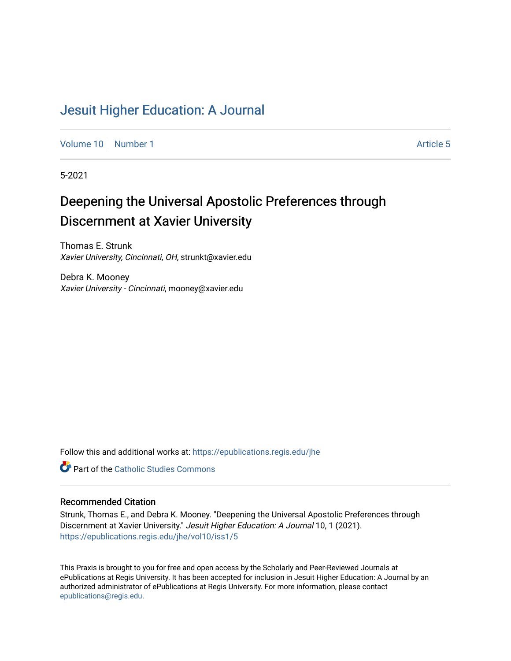## [Jesuit Higher Education: A Journal](https://epublications.regis.edu/jhe)

[Volume 10](https://epublications.regis.edu/jhe/vol10) [Number 1](https://epublications.regis.edu/jhe/vol10/iss1) Article 5

5-2021

# Deepening the Universal Apostolic Preferences through Discernment at Xavier University

Thomas E. Strunk Xavier University, Cincinnati, OH, strunkt@xavier.edu

Debra K. Mooney Xavier University - Cincinnati, mooney@xavier.edu

Follow this and additional works at: [https://epublications.regis.edu/jhe](https://epublications.regis.edu/jhe?utm_source=epublications.regis.edu%2Fjhe%2Fvol10%2Fiss1%2F5&utm_medium=PDF&utm_campaign=PDFCoverPages) 

**Part of the [Catholic Studies Commons](http://network.bepress.com/hgg/discipline/1294?utm_source=epublications.regis.edu%2Fjhe%2Fvol10%2Fiss1%2F5&utm_medium=PDF&utm_campaign=PDFCoverPages)** 

#### Recommended Citation

Strunk, Thomas E., and Debra K. Mooney. "Deepening the Universal Apostolic Preferences through Discernment at Xavier University." Jesuit Higher Education: A Journal 10, 1 (2021). [https://epublications.regis.edu/jhe/vol10/iss1/5](https://epublications.regis.edu/jhe/vol10/iss1/5?utm_source=epublications.regis.edu%2Fjhe%2Fvol10%2Fiss1%2F5&utm_medium=PDF&utm_campaign=PDFCoverPages)

This Praxis is brought to you for free and open access by the Scholarly and Peer-Reviewed Journals at ePublications at Regis University. It has been accepted for inclusion in Jesuit Higher Education: A Journal by an authorized administrator of ePublications at Regis University. For more information, please contact [epublications@regis.edu.](mailto:epublications@regis.edu)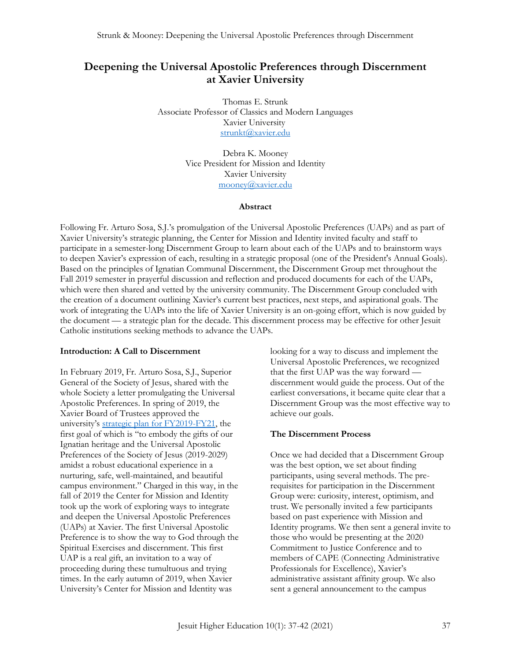### **Deepening the Universal Apostolic Preferences through Discernment at Xavier University**

Thomas E. Strunk Associate Professor of Classics and Modern Languages Xavier University [strunkt@xavier.edu](mailto:strunkt@xavier.edu)

> Debra K. Mooney Vice President for Mission and Identity Xavier University [mooney@xavier.edu](mailto:mooney@xavier.edu)

#### **Abstract**

Following Fr. Arturo Sosa, S.J.'s promulgation of the Universal Apostolic Preferences (UAPs) and as part of Xavier University's strategic planning, the Center for Mission and Identity invited faculty and staff to participate in a semester-long Discernment Group to learn about each of the UAPs and to brainstorm ways to deepen Xavier's expression of each, resulting in a strategic proposal (one of the President's Annual Goals). Based on the principles of Ignatian Communal Discernment, the Discernment Group met throughout the Fall 2019 semester in prayerful discussion and reflection and produced documents for each of the UAPs, which were then shared and vetted by the university community. The Discernment Group concluded with the creation of a document outlining Xavier's current best practices, next steps, and aspirational goals. The work of integrating the UAPs into the life of Xavier University is an on-going effort, which is now guided by the document — a strategic plan for the decade. This discernment process may be effective for other Jesuit Catholic institutions seeking methods to advance the UAPs.

#### **Introduction: A Call to Discernment**

In February 2019, Fr. Arturo Sosa, S.J., Superior General of the Society of Jesus, shared with the whole Society a letter promulgating the Universal Apostolic Preferences. In spring of 2019, the Xavier Board of Trustees approved the university's [strategic plan for FY2019-FY21,](https://www.xavier.edu/mission-identity/xaviers-mission/the-xavier-way) the first goal of which is "to embody the gifts of our Ignatian heritage and the Universal Apostolic Preferences of the Society of Jesus (2019-2029) amidst a robust educational experience in a nurturing, safe, well-maintained, and beautiful campus environment." Charged in this way, in the fall of 2019 the Center for Mission and Identity took up the work of exploring ways to integrate and deepen the Universal Apostolic Preferences (UAPs) at Xavier. The first Universal Apostolic Preference is to show the way to God through the Spiritual Exercises and discernment. This first UAP is a real gift, an invitation to a way of proceeding during these tumultuous and trying times. In the early autumn of 2019, when Xavier University's Center for Mission and Identity was

looking for a way to discuss and implement the Universal Apostolic Preferences, we recognized that the first UAP was the way forward discernment would guide the process. Out of the earliest conversations, it became quite clear that a Discernment Group was the most effective way to achieve our goals.

#### **The Discernment Process**

Once we had decided that a Discernment Group was the best option, we set about finding participants, using several methods. The prerequisites for participation in the Discernment Group were: curiosity, interest, optimism, and trust. We personally invited a few participants based on past experience with Mission and Identity programs. We then sent a general invite to those who would be presenting at the 2020 Commitment to Justice Conference and to members of CAPE (Connecting Administrative Professionals for Excellence), Xavier's administrative assistant affinity group. We also sent a general announcement to the campus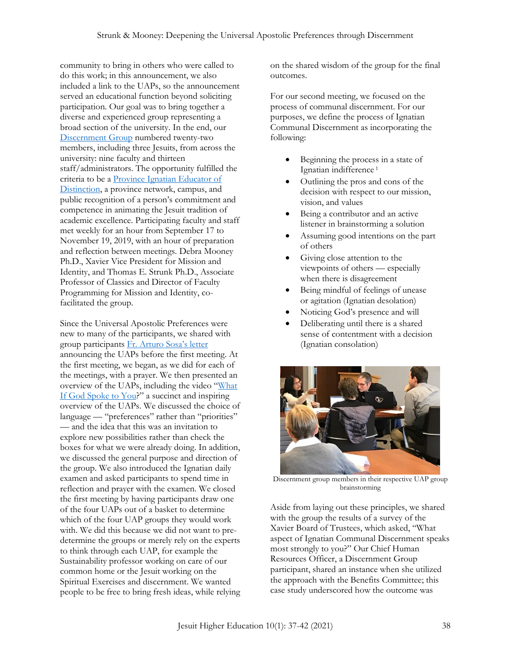community to bring in others who were called to do this work; in this announcement, we also included a link to the UAPs, so the announcement served an educational function beyond soliciting participation. Our goal was to bring together a diverse and experienced group representing a broad section of the university. In the end, our [Discernment Group](https://www.xavier.edu/mission-identity/programs/apostolic-preferences-at-xavier/index?utm_source=Today+at+Xavier+Subscribers&utm_campaign=18142e196f-Today_at_Xavier_COPY_01&utm_medium=email&utm_term=0_2094fa7cc9-18142e196f-69516165) numbered twenty-two members, including three Jesuits, from across the university: nine faculty and thirteen staff/administrators. The opportunity fulfilled the criteria to be [a Province Ignatian Educator of](https://www.xavier.edu/mission-identity/programs/province-ignatian-educators-of-distinction)  [Distinction,](https://www.xavier.edu/mission-identity/programs/province-ignatian-educators-of-distinction) a province network, campus, and public recognition of a person's commitment and competence in animating the Jesuit tradition of academic excellence. Participating faculty and staff met weekly for an hour from September 17 to November 19, 2019, with an hour of preparation and reflection between meetings. Debra Mooney Ph.D., Xavier Vice President for Mission and Identity, and Thomas E. Strunk Ph.D., Associate Professor of Classics and Director of Faculty Programming for Mission and Identity, cofacilitated the group.

Since the Universal Apostolic Preferences were new to many of the participants, we shared with group participants [Fr. Arturo Sosa's letter](https://www.jesuits.global/sj_files/2020/05/2019-06_19feb19_eng.pdf)  announcing the UAPs before the first meeting. At the first meeting, we began, as we did for each of the meetings, with a prayer. We then presented an overview of the UAPs, including the video "[What](https://www.educatemagis.org/videos/what-if-god-spoke-to-you-universal-apostolic-preferences/)  [If God Spoke to You](https://www.educatemagis.org/videos/what-if-god-spoke-to-you-universal-apostolic-preferences/)?" a succinct and inspiring overview of the UAPs. We discussed the choice of language — "preferences" rather than "priorities" — and the idea that this was an invitation to explore new possibilities rather than check the boxes for what we were already doing. In addition, we discussed the general purpose and direction of the group. We also introduced the Ignatian daily examen and asked participants to spend time in reflection and prayer with the examen. We closed the first meeting by having participants draw one of the four UAPs out of a basket to determine which of the four UAP groups they would work with. We did this because we did not want to predetermine the groups or merely rely on the experts to think through each UAP, for example the Sustainability professor working on care of our common home or the Jesuit working on the Spiritual Exercises and discernment. We wanted people to be free to bring fresh ideas, while relying on the shared wisdom of the group for the final outcomes.

For our second meeting, we focused on the process of communal discernment. For our purposes, we define the process of Ignatian Communal Discernment as incorporating the following:

- Beginning the process in a state of Ignatian indifference <sup>1</sup>
- Outlining the pros and cons of the decision with respect to our mission, vision, and values
- Being a contributor and an active listener in brainstorming a solution
- Assuming good intentions on the part of others
- Giving close attention to the viewpoints of others — especially when there is disagreement
- Being mindful of feelings of unease or agitation (Ignatian desolation)
- Noticing God's presence and will
- Deliberating until there is a shared sense of contentment with a decision (Ignatian consolation)



Discernment group members in their respective UAP group brainstorming

Aside from laying out these principles, we shared with the group the results of a survey of the Xavier Board of Trustees, which asked, "What aspect of Ignatian Communal Discernment speaks most strongly to you?" Our Chief Human Resources Officer, a Discernment Group participant, shared an instance when she utilized the approach with the Benefits Committee; this case study underscored how the outcome was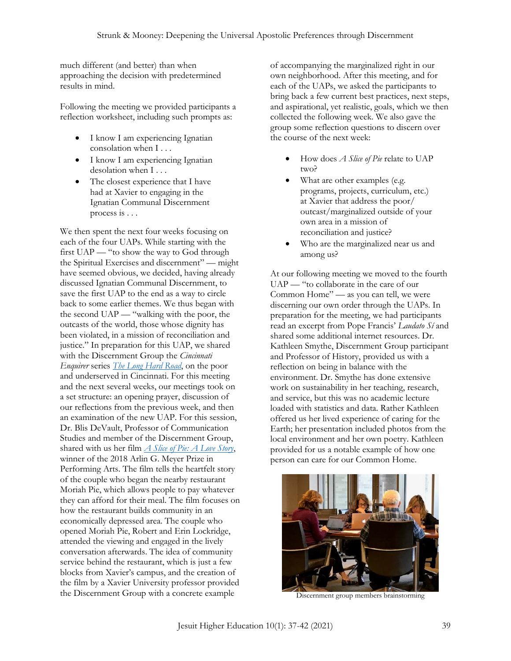much different (and better) than when approaching the decision with predetermined results in mind.

Following the meeting we provided participants a reflection worksheet, including such prompts as:

- I know I am experiencing Ignatian consolation when I . . .
- I know I am experiencing Ignatian desolation when I . . .
- The closest experience that I have had at Xavier to engaging in the Ignatian Communal Discernment process is . . .

We then spent the next four weeks focusing on each of the four UAPs. While starting with the first UAP — "to show the way to God through the Spiritual Exercises and discernment" — might have seemed obvious, we decided, having already discussed Ignatian Communal Discernment, to save the first UAP to the end as a way to circle back to some earlier themes. We thus began with the second UAP — "walking with the poor, the outcasts of the world, those whose dignity has been violated, in a mission of reconciliation and justice." In preparation for this UAP, we shared with the Discernment Group the *Cincinnati Enquirer* series *[The Long Hard Road](https://www.cincinnati.com/story/news/2019/09/19/prosperity-disparity/2374125001/)*, on the poor and underserved in Cincinnati. For this meeting and the next several weeks, our meetings took on a set structure: an opening prayer, discussion of our reflections from the previous week, and then an examination of the new UAP. For this session, Dr. Blis DeVault, Professor of Communication Studies and member of the Discernment Group, shared with us her film *[A Slice of Pie: A Love Story](https://www.sliceofpiemovie.com/)*, winner of the 2018 Arlin G. Meyer Prize in Performing Arts. The film tells the heartfelt story of the couple who began the nearby restaurant Moriah Pie, which allows people to pay whatever they can afford for their meal. The film focuses on how the restaurant builds community in an economically depressed area. The couple who opened Moriah Pie, Robert and Erin Lockridge, attended the viewing and engaged in the lively conversation afterwards. The idea of community service behind the restaurant, which is just a few blocks from Xavier's campus, and the creation of the film by a Xavier University professor provided the Discernment Group with a concrete example

of accompanying the marginalized right in our own neighborhood. After this meeting, and for each of the UAPs, we asked the participants to bring back a few current best practices, next steps, and aspirational, yet realistic, goals, which we then collected the following week. We also gave the group some reflection questions to discern over the course of the next week:

- How does *A Slice of Pie* relate to UAP two?
- What are other examples (e.g. programs, projects, curriculum, etc.) at Xavier that address the poor/ outcast/marginalized outside of your own area in a mission of reconciliation and justice?
- Who are the marginalized near us and among us?

At our following meeting we moved to the fourth UAP — "to collaborate in the care of our Common Home" — as you can tell, we were discerning our own order through the UAPs. In preparation for the meeting, we had participants read an excerpt from Pope Francis' *Laudato Sí* and shared some additional internet resources. Dr. Kathleen Smythe, Discernment Group participant and Professor of History, provided us with a reflection on being in balance with the environment. Dr. Smythe has done extensive work on sustainability in her teaching, research, and service, but this was no academic lecture loaded with statistics and data. Rather Kathleen offered us her lived experience of caring for the Earth; her presentation included photos from the local environment and her own poetry. Kathleen provided for us a notable example of how one person can care for our Common Home.



Discernment group members brainstorming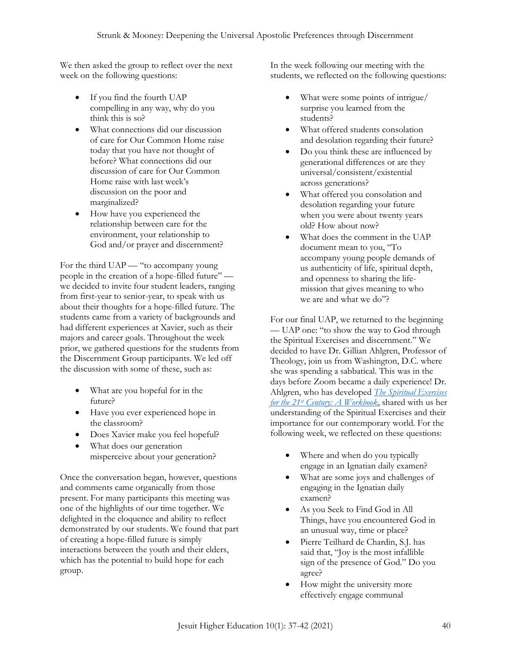We then asked the group to reflect over the next week on the following questions:

- If you find the fourth UAP compelling in any way, why do you think this is so?
- What connections did our discussion of care for Our Common Home raise today that you have not thought of before? What connections did our discussion of care for Our Common Home raise with last week's discussion on the poor and marginalized?
- How have you experienced the relationship between care for the environment, your relationship to God and/or prayer and discernment?

For the third UAP — "to accompany young people in the creation of a hope-filled future" we decided to invite four student leaders, ranging from first-year to senior-year, to speak with us about their thoughts for a hope-filled future. The students came from a variety of backgrounds and had different experiences at Xavier, such as their majors and career goals. Throughout the week prior, we gathered questions for the students from the Discernment Group participants. We led off the discussion with some of these, such as:

- What are you hopeful for in the future?
- Have you ever experienced hope in the classroom?
- Does Xavier make you feel hopeful?
- What does our generation misperceive about your generation?

Once the conversation began, however, questions and comments came organically from those present. For many participants this meeting was one of the highlights of our time together. We delighted in the eloquence and ability to reflect demonstrated by our students. We found that part of creating a hope-filled future is simply interactions between the youth and their elders, which has the potential to build hope for each group.

In the week following our meeting with the students, we reflected on the following questions:

- What were some points of intrigue/ surprise you learned from the students?
- What offered students consolation and desolation regarding their future?
- Do you think these are influenced by generational differences or are they universal/consistent/existential across generations?
- What offered you consolation and desolation regarding your future when you were about twenty years old? How about now?
- What does the comment in the UAP document mean to you, "To accompany young people demands of us authenticity of life, spiritual depth, and openness to sharing the lifemission that gives meaning to who we are and what we do"?

For our final UAP, we returned to the beginning — UAP one: "to show the way to God through the Spiritual Exercises and discernment." We decided to have Dr. Gillian Ahlgren, Professor of Theology, join us from Washington, D.C. where she was spending a sabbatical. This was in the days before Zoom became a daily experience! Dr. Ahlgren, who has developed *[The Spiritual Exercises](https://www.xavier.edu/jesuitresource/ignatian-resources/spiritual-exercises-21st)  for the 21st [Century: A Workbook](https://www.xavier.edu/jesuitresource/ignatian-resources/spiritual-exercises-21st)*, shared with us her understanding of the Spiritual Exercises and their importance for our contemporary world. For the following week, we reflected on these questions:

- Where and when do you typically engage in an Ignatian daily examen?
- What are some joys and challenges of engaging in the Ignatian daily examen?
- As you Seek to Find God in All Things, have you encountered God in an unusual way, time or place?
- Pierre Teilhard de Chardin, S.J. has said that, "Joy is the most infallible sign of the presence of God." Do you agree?
- How might the university more effectively engage communal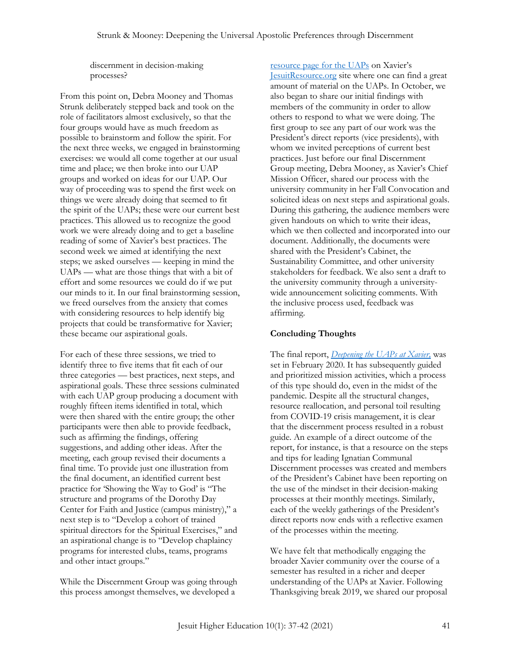discernment in decision-making processes?

From this point on, Debra Mooney and Thomas Strunk deliberately stepped back and took on the role of facilitators almost exclusively, so that the four groups would have as much freedom as possible to brainstorm and follow the spirit. For the next three weeks, we engaged in brainstorming exercises: we would all come together at our usual time and place; we then broke into our UAP groups and worked on ideas for our UAP. Our way of proceeding was to spend the first week on things we were already doing that seemed to fit the spirit of the UAPs; these were our current best practices. This allowed us to recognize the good work we were already doing and to get a baseline reading of some of Xavier's best practices. The second week we aimed at identifying the next steps; we asked ourselves — keeping in mind the UAPs — what are those things that with a bit of effort and some resources we could do if we put our minds to it. In our final brainstorming session, we freed ourselves from the anxiety that comes with considering resources to help identify big projects that could be transformative for Xavier; these became our aspirational goals.

For each of these three sessions, we tried to identify three to five items that fit each of our three categories — best practices, next steps, and aspirational goals. These three sessions culminated with each UAP group producing a document with roughly fifteen items identified in total, which were then shared with the entire group; the other participants were then able to provide feedback, such as affirming the findings, offering suggestions, and adding other ideas. After the meeting, each group revised their documents a final time. To provide just one illustration from the final document, an identified current best practice for 'Showing the Way to God' is "The structure and programs of the Dorothy Day Center for Faith and Justice (campus ministry)," a next step is to "Develop a cohort of trained spiritual directors for the Spiritual Exercises," and an aspirational change is to "Develop chaplaincy programs for interested clubs, teams, programs and other intact groups."

While the Discernment Group was going through this process amongst themselves, we developed a

[resource page for the UAPs](https://www.xavier.edu/jesuitresource/resources-by-theme/resources-for-apostolic-preferences) on Xavier's [JesuitResource.org](https://www.xavier.edu/jesuitresource/) site where one can find a great amount of material on the UAPs. In October, we also began to share our initial findings with members of the community in order to allow others to respond to what we were doing. The first group to see any part of our work was the President's direct reports (vice presidents), with whom we invited perceptions of current best practices. Just before our final Discernment Group meeting, Debra Mooney, as Xavier's Chief Mission Officer, shared our process with the university community in her Fall Convocation and solicited ideas on next steps and aspirational goals. During this gathering, the audience members were given handouts on which to write their ideas, which we then collected and incorporated into our document. Additionally, the documents were shared with the President's Cabinet, the Sustainability Committee, and other university stakeholders for feedback. We also sent a draft to the university community through a universitywide announcement soliciting comments. With the inclusive process used, feedback was affirming.

#### **Concluding Thoughts**

The final report, *[Deepening the UAPs at Xavier,](https://www.xavier.edu/mission-identity/programs/documents/universal-apostolic-preferences-document_final2.pdf)* was set in February 2020. It has subsequently guided and prioritized mission activities, which a process of this type should do, even in the midst of the pandemic. Despite all the structural changes, resource reallocation, and personal toil resulting from COVID-19 crisis management, it is clear that the discernment process resulted in a robust guide. An example of a direct outcome of the report, for instance, is that a resource on the steps and tips for leading Ignatian Communal Discernment processes was created and members of the President's Cabinet have been reporting on the use of the mindset in their decision-making processes at their monthly meetings. Similarly, each of the weekly gatherings of the President's direct reports now ends with a reflective examen of the processes within the meeting.

We have felt that methodically engaging the broader Xavier community over the course of a semester has resulted in a richer and deeper understanding of the UAPs at Xavier. Following Thanksgiving break 2019, we shared our proposal